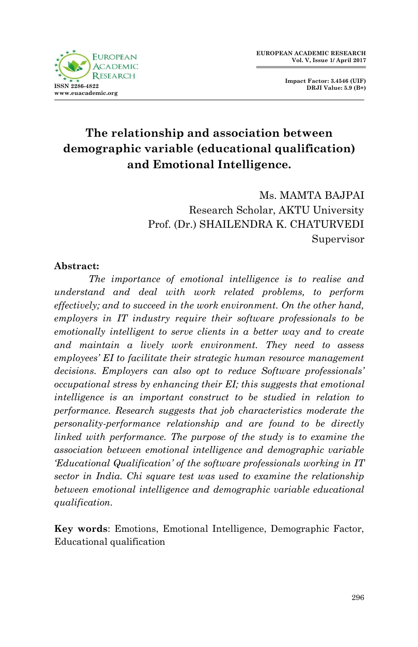

**Impact Factor: 3.4546 (UIF) DRJI Value: 5.9 (B+)**

# **The relationship and association between demographic variable (educational qualification) and Emotional Intelligence.**

Ms. MAMTA BAJPAI Research Scholar, AKTU University Prof. (Dr.) SHAILENDRA K. CHATURVEDI Supervisor

### **Abstract:**

*The importance of emotional intelligence is to realise and understand and deal with work related problems, to perform effectively; and to succeed in the work environment. On the other hand, employers in IT industry require their software professionals to be emotionally intelligent to serve clients in a better way and to create and maintain a lively work environment. They need to assess employees' EI to facilitate their strategic human resource management decisions. Employers can also opt to reduce Software professionals' occupational stress by enhancing their EI; this suggests that emotional intelligence is an important construct to be studied in relation to performance. Research suggests that job characteristics moderate the personality-performance relationship and are found to be directly linked with performance. The purpose of the study is to examine the association between emotional intelligence and demographic variable 'Educational Qualification' of the software professionals working in IT sector in India. Chi square test was used to examine the relationship between emotional intelligence and demographic variable educational qualification.*

**Key words**: Emotions, Emotional Intelligence, Demographic Factor, Educational qualification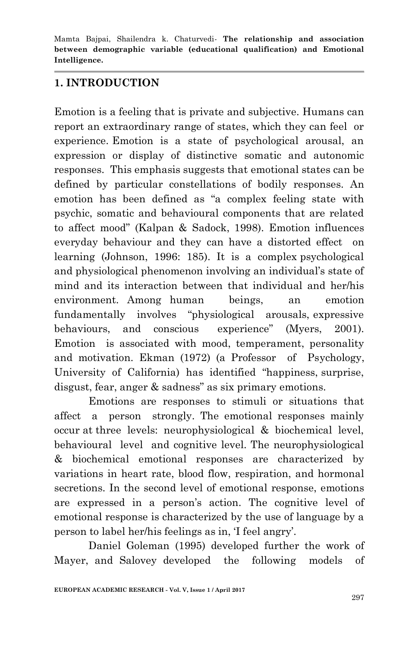### **1. INTRODUCTION**

Emotion is a feeling that is private and subjective. Humans can report an extraordinary range of states, which they can feel or experience. Emotion is a state of psychological arousal, an expression or display of distinctive somatic and autonomic responses. This emphasis suggests that emotional states can be defined by particular constellations of bodily responses. An emotion has been defined as "a complex feeling state with psychic, somatic and behavioural components that are related to affect mood" (Kalpan & Sadock, 1998). Emotion influences everyday behaviour and they can have a distorted effect on learning (Johnson, 1996: 185). It is a complex psychological and physiological phenomenon involving an individual"s state of mind and its interaction between that individual and her/his environment. Among human beings, an emotion fundamentally involves "physiological arousals, expressive behaviours, and conscious experience" (Myers, 2001). Emotion is associated with mood, temperament, personality and motivation. Ekman (1972) (a Professor of Psychology, University of California) has identified "happiness, surprise, disgust, fear, anger & sadness" as six primary emotions.

Emotions are responses to stimuli or situations that affect a person strongly. The emotional responses mainly occur at three levels: neurophysiological & biochemical level, behavioural level and cognitive level. The neurophysiological & biochemical emotional responses are characterized by variations in heart rate, blood flow, respiration, and hormonal secretions. In the second level of emotional response, emotions are expressed in a person's action. The cognitive level of emotional response is characterized by the use of language by a person to label her/his feelings as in, "I feel angry".

Daniel Goleman (1995) developed further the work of Mayer, and Salovey developed the following models of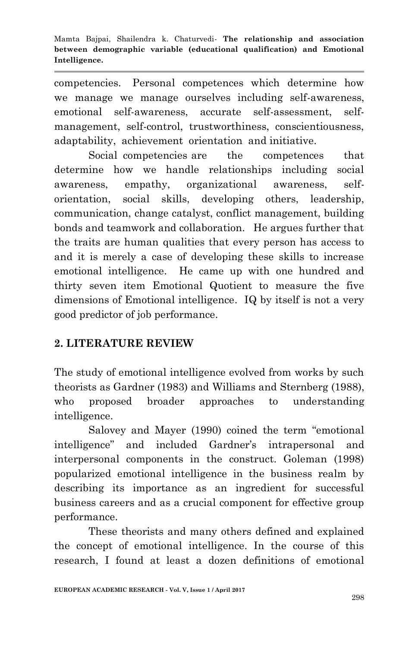competencies. Personal competences which determine how we manage we manage ourselves including self-awareness, emotional self-awareness, accurate self-assessment, selfmanagement, self-control, trustworthiness, conscientiousness, adaptability, achievement orientation and initiative.

Social competencies are the competences that determine how we handle relationships including social awareness, empathy, organizational awareness, selforientation, social skills, developing others, leadership, communication, change catalyst, conflict management, building bonds and teamwork and collaboration. He argues further that the traits are human qualities that every person has access to and it is merely a case of developing these skills to increase emotional intelligence. He came up with one hundred and thirty seven item Emotional Quotient to measure the five dimensions of Emotional intelligence. IQ by itself is not a very good predictor of job performance.

### **2. LITERATURE REVIEW**

The study of emotional intelligence evolved from works by such theorists as Gardner (1983) and Williams and Sternberg (1988), who proposed broader approaches to understanding intelligence.

Salovey and Mayer (1990) coined the term "emotional intelligence" and included Gardner"s intrapersonal and interpersonal components in the construct. Goleman (1998) popularized emotional intelligence in the business realm by describing its importance as an ingredient for successful business careers and as a crucial component for effective group performance.

These theorists and many others defined and explained the concept of emotional intelligence. In the course of this research, I found at least a dozen definitions of emotional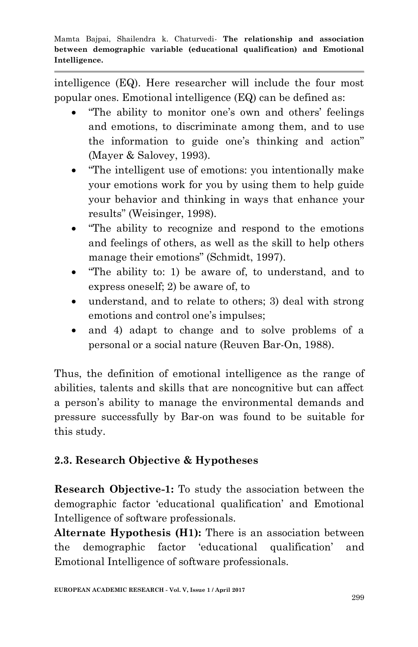intelligence (EQ). Here researcher will include the four most popular ones. Emotional intelligence (EQ) can be defined as:

- "The ability to monitor one's own and others' feelings and emotions, to discriminate among them, and to use the information to guide one's thinking and action" (Mayer & Salovey, 1993).
- "The intelligent use of emotions: you intentionally make your emotions work for you by using them to help guide your behavior and thinking in ways that enhance your results" (Weisinger, 1998).
- "The ability to recognize and respond to the emotions and feelings of others, as well as the skill to help others manage their emotions" (Schmidt, 1997).
- "The ability to: 1) be aware of, to understand, and to express oneself; 2) be aware of, to
- understand, and to relate to others; 3) deal with strong emotions and control one's impulses;
- and 4) adapt to change and to solve problems of a personal or a social nature (Reuven Bar-On, 1988).

Thus, the definition of emotional intelligence as the range of abilities, talents and skills that are noncognitive but can affect a person's ability to manage the environmental demands and pressure successfully by Bar-on was found to be suitable for this study.

# **2.3. Research Objective & Hypotheses**

**Research Objective-1:** To study the association between the demographic factor "educational qualification" and Emotional Intelligence of software professionals.

**Alternate Hypothesis (H1):** There is an association between the demographic factor "educational qualification" and Emotional Intelligence of software professionals.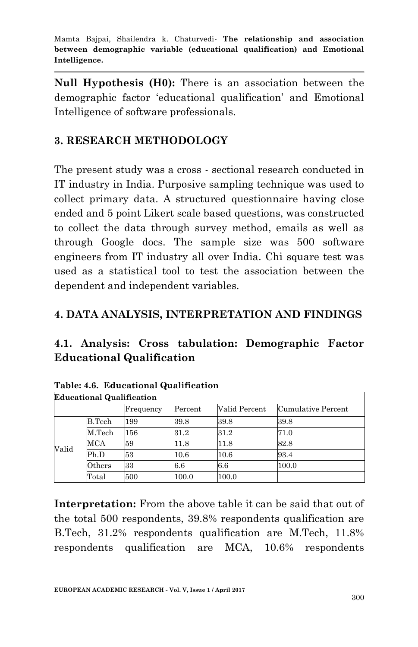**Null Hypothesis (H0):** There is an association between the demographic factor "educational qualification" and Emotional Intelligence of software professionals.

### **3. RESEARCH METHODOLOGY**

The present study was a cross - sectional research conducted in IT industry in India. Purposive sampling technique was used to collect primary data. A structured questionnaire having close ended and 5 point Likert scale based questions, was constructed to collect the data through survey method, emails as well as through Google docs. The sample size was 500 software engineers from IT industry all over India. Chi square test was used as a statistical tool to test the association between the dependent and independent variables.

### **4. DATA ANALYSIS, INTERPRETATION AND FINDINGS**

## **4.1. Analysis: Cross tabulation: Demographic Factor Educational Qualification**

| <b>Educational Qualification</b> |                     |           |          |               |                    |  |  |  |  |
|----------------------------------|---------------------|-----------|----------|---------------|--------------------|--|--|--|--|
|                                  |                     | Frequency | Percent  | Valid Percent | Cumulative Percent |  |  |  |  |
|                                  | B.Tech              | 199       | 39.8     | 39.8          | 39.8               |  |  |  |  |
|                                  | M. <sub>Techn</sub> | 156       | 31.2     | 31.2          | 71.0               |  |  |  |  |
| Valid                            | <b>MCA</b>          | 59        | 11.8     | 11.8          | 82.8               |  |  |  |  |
|                                  | Ph.D                | 53        | $10.6\,$ | 10.6          | 93.4               |  |  |  |  |
|                                  | Others              | 33        | 6.6      | 6.6           | 100.0              |  |  |  |  |
|                                  | Total               | 500       | 100.0    | 100.0         |                    |  |  |  |  |

|                                                    | Table: 4.6. Educational Qualification |
|----------------------------------------------------|---------------------------------------|
| $\mathbb{R}^1$ is $\mathbb{R}^1$ if $\mathbb{R}^1$ |                                       |

**Interpretation:** From the above table it can be said that out of the total 500 respondents, 39.8% respondents qualification are B.Tech, 31.2% respondents qualification are M.Tech, 11.8% respondents qualification are MCA, 10.6% respondents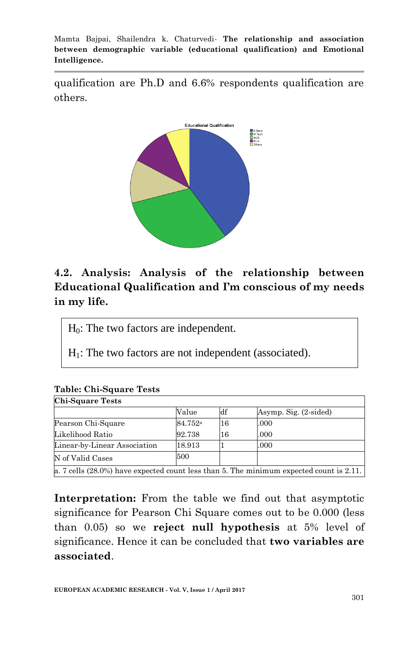qualification are Ph.D and 6.6% respondents qualification are others.



## **4.2. Analysis: Analysis of the relationship between Educational Qualification and I'm conscious of my needs in my life.**

 $H<sub>0</sub>$ : The two factors are independent.

 $H<sub>1</sub>$ : The two factors are not independent (associated).

| <b>Chi-Square Tests</b>      |                     |    |                                                                                            |  |  |  |  |  |  |
|------------------------------|---------------------|----|--------------------------------------------------------------------------------------------|--|--|--|--|--|--|
|                              | Value               | df | Asymp. Sig. (2-sided)                                                                      |  |  |  |  |  |  |
| Pearson Chi-Square           | 84.752 <sup>a</sup> | 16 | .000                                                                                       |  |  |  |  |  |  |
| Likelihood Ratio             | 92.738              | 16 | .000                                                                                       |  |  |  |  |  |  |
| Linear-by-Linear Association | 18.913              |    | .000                                                                                       |  |  |  |  |  |  |
| N of Valid Cases             | 500                 |    |                                                                                            |  |  |  |  |  |  |
|                              |                     |    | a. 7 cells $(28.0\%)$ have expected count less than 5. The minimum expected count is 2.11. |  |  |  |  |  |  |

# **Table: Chi-Square Tests**

**Interpretation:** From the table we find out that asymptotic significance for Pearson Chi Square comes out to be 0.000 (less than 0.05) so we **reject null hypothesis** at 5% level of significance. Hence it can be concluded that **two variables are associated**.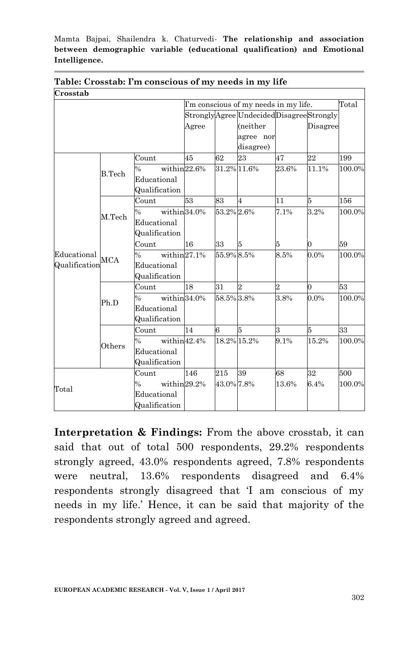| Crosstab      |               |                               |       |                                                |                                         |                |          |        |
|---------------|---------------|-------------------------------|-------|------------------------------------------------|-----------------------------------------|----------------|----------|--------|
|               |               |                               |       | Total<br>I'm conscious of my needs in my life. |                                         |                |          |        |
|               |               |                               |       |                                                | StronglyAgree UndecidedDisagreeStrongly |                |          |        |
|               |               |                               | Agree |                                                | (neither                                |                | Disagree |        |
|               |               |                               |       |                                                | agree nor                               |                |          |        |
|               |               |                               |       |                                                | disagree)                               |                |          |        |
|               |               | Count                         | 45    | 62                                             | 23                                      | 47             | 22       | 199    |
|               | <b>B.Tech</b> | within22.6%<br>$\%$           |       |                                                | 31.2% 11.6%                             | 23.6%          | 11.1%    | 100.0% |
|               |               | Educational                   |       |                                                |                                         |                |          |        |
|               |               | Qualification                 |       |                                                |                                         |                |          |        |
|               |               | Count                         | 53    | 83                                             | 4                                       | 11             | 5        | 156    |
|               | M.Tech        | within 34.0%<br>$\frac{0}{6}$ |       | 53.2% 2.6%                                     |                                         | 7.1%           | 3.2%     | 100.0% |
|               |               | Educational                   |       |                                                |                                         |                |          |        |
|               |               | Qualification                 |       |                                                |                                         |                |          |        |
|               | <b>MCA</b>    | Count                         | 16    | 33                                             | 5                                       | 5              | $\Omega$ | 59     |
| Educational   |               | within27.1%<br>$\frac{0}{0}$  |       | 55.9% 8.5%                                     |                                         | 8.5%           | $0.0\%$  | 100.0% |
| Qualification |               | Educational                   |       |                                                |                                         |                |          |        |
|               |               | Qualification                 |       |                                                |                                         |                |          |        |
|               | Ph.D          | Count                         | 18    | 31                                             | 2                                       | $\overline{2}$ | $\Omega$ | 53     |
|               |               | within 34.0%<br>$\frac{0}{6}$ |       | 58.5% 3.8%                                     |                                         | 3.8%           | $0.0\%$  | 100.0% |
|               |               | Educational                   |       |                                                |                                         |                |          |        |
|               |               | Qualification                 |       |                                                |                                         |                |          |        |
|               |               | Count                         | 14    | 6                                              | 5                                       | 3              | 5        | 33     |
|               | Others        | within42.4%<br>$\frac{0}{6}$  |       |                                                | 18.2% 15.2%                             | 9.1%           | 15.2%    | 100.0% |
|               |               | Educational                   |       |                                                |                                         |                |          |        |
|               |               | Qualification                 |       |                                                |                                         |                |          |        |
|               |               | Count                         | 146   | 215                                            | 39                                      | 68             | 32       | 500    |
|               |               | within29.2%<br>$\frac{0}{6}$  |       | 43.0% 7.8%                                     |                                         | 13.6%          | 6.4%     | 100.0% |
| Total         |               | Educational                   |       |                                                |                                         |                |          |        |
|               |               | Qualification                 |       |                                                |                                         |                |          |        |

**Table: Crosstab: I'm conscious of my needs in my life**

**Interpretation & Findings:** From the above crosstab, it can said that out of total 500 respondents, 29.2% respondents strongly agreed, 43.0% respondents agreed, 7.8% respondents were neutral, 13.6% respondents disagreed and 6.4% respondents strongly disagreed that "I am conscious of my needs in my life." Hence, it can be said that majority of the respondents strongly agreed and agreed.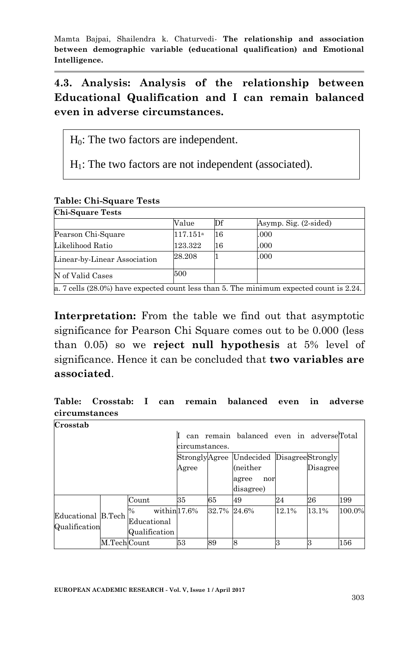**4.3. Analysis: Analysis of the relationship between Educational Qualification and I can remain balanced even in adverse circumstances.**

 $H_0$ : The two factors are independent.

 $H<sub>1</sub>$ : The two factors are not independent (associated).

|  | <b>Table: Chi-Square Tests</b> |  |
|--|--------------------------------|--|
|--|--------------------------------|--|

| <b>Chi Square Tests</b>      |                      |    |                                                                                               |
|------------------------------|----------------------|----|-----------------------------------------------------------------------------------------------|
|                              | Value                | Df | Asymp. Sig. (2-sided)                                                                         |
| Pearson Chi-Square           | 117.151 <sup>a</sup> | 16 | .000                                                                                          |
| Likelihood Ratio             | 123.322              | 16 | .000                                                                                          |
| Linear-by-Linear Association | 28.208               |    | .000                                                                                          |
| N of Valid Cases             | 500                  |    |                                                                                               |
|                              |                      |    | a. 7 cells $(28.0\%)$ have expected count less than 5. The minimum expected count is $2.24$ . |

**Interpretation:** From the table we find out that asymptotic significance for Pearson Chi Square comes out to be 0.000 (less than 0.05) so we **reject null hypothesis** at 5% level of significance. Hence it can be concluded that **two variables are associated**.

**Table: Crosstab: I can remain balanced even in adverse circumstances Crosstab** Ĭ.

| Urusstab           |              |                      |                |              |                                          |          |       |        |
|--------------------|--------------|----------------------|----------------|--------------|------------------------------------------|----------|-------|--------|
|                    |              |                      | can            |              | remain balanced even in adverseTotal     |          |       |        |
|                    |              |                      | circumstances. |              |                                          |          |       |        |
|                    |              |                      |                |              | StronglyAgree Undecided DisagreeStrongly |          |       |        |
|                    |              | Agree                |                | (neither     |                                          | Disagree |       |        |
|                    |              |                      |                | agree<br>nor |                                          |          |       |        |
|                    |              |                      |                |              | disagree)                                |          |       |        |
|                    |              | Count                | 35             | 65           | 49                                       | 24       | 26    | 199    |
| Educational B.Tech |              | within $17.6\%$<br>% |                | 32.7%        | 24.6%                                    | 12.1%    | 13.1% | 100.0% |
| Qualification      |              | Educational          |                |              |                                          |          |       |        |
|                    |              | Qualification        |                |              |                                          |          |       |        |
|                    | M.Tech Count |                      | 53             | 89           | <sup>8</sup>                             |          |       | 156    |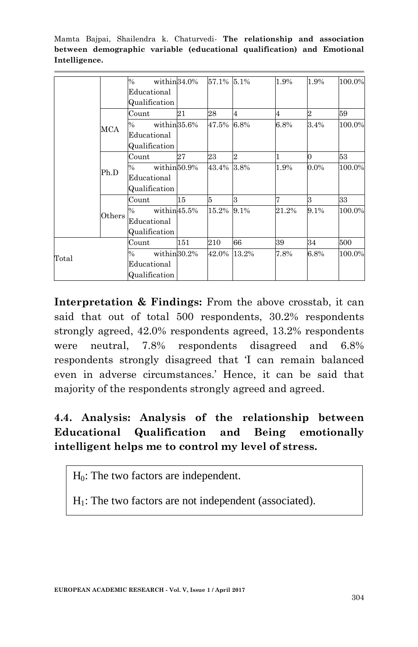|       |               | $\%$          | within 34.0% | 57.1% 5.1%      |                | 1.9%    | 1.9%           | 100.0% |
|-------|---------------|---------------|--------------|-----------------|----------------|---------|----------------|--------|
|       |               | Educational   |              |                 |                |         |                |        |
|       |               | Qualification |              |                 |                |         |                |        |
|       |               | Count         | 21           | 28              | 4              | 4       | $\overline{2}$ | 59     |
|       | MCA           | $\%$          | within 35.6% | 47.5%           | 6.8%           | $6.8\%$ | 3.4%           | 100.0% |
|       |               | Educational   |              |                 |                |         |                |        |
|       |               | Qualification |              |                 |                |         |                |        |
|       |               | Count         | 27           | 23              | $\overline{2}$ |         | $\Omega$       | 53     |
|       | Ph.D          | $\%$          | within50.9%  | 43.4%           | 3.8%           | 1.9%    | $0.0\%$        | 100.0% |
|       |               | Educational   |              |                 |                |         |                |        |
|       |               | Qualification |              |                 |                |         |                |        |
|       |               | Count         | 15           | $5\overline{5}$ | 3              |         | 3              | 33     |
|       | $\rm{Others}$ | %             | within45.5%  | 15.2% 9.1%      |                | 21.2%   | 9.1%           | 100.0% |
|       |               | Educational   |              |                 |                |         |                |        |
|       |               | Qualification |              |                 |                |         |                |        |
|       |               | Count         | 151          | 210             | 66             | 39      | 34             | 500    |
| Total |               | $\frac{0}{0}$ | within 30.2% | 42.0%           | 13.2%          | 7.8%    | 6.8%           | 100.0% |
|       |               | Educational   |              |                 |                |         |                |        |
|       |               | Qualification |              |                 |                |         |                |        |

**Interpretation & Findings:** From the above crosstab, it can said that out of total 500 respondents, 30.2% respondents strongly agreed, 42.0% respondents agreed, 13.2% respondents were neutral, 7.8% respondents disagreed and 6.8% respondents strongly disagreed that 'I can remain balanced even in adverse circumstances." Hence, it can be said that majority of the respondents strongly agreed and agreed.

## **4.4. Analysis: Analysis of the relationship between Educational Qualification and Being emotionally intelligent helps me to control my level of stress.**

 $H_0$ : The two factors are independent.

 $H<sub>1</sub>$ : The two factors are not independent (associated).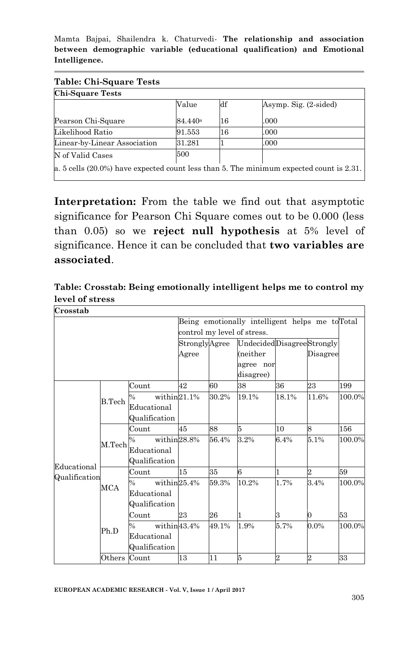| <b>Chi-Square Tests</b>      |                  |    |                       |
|------------------------------|------------------|----|-----------------------|
|                              | Value            | df | Asymp. Sig. (2-sided) |
| Pearson Chi-Square           | $84.440^{\rm a}$ | 16 | .000                  |
| Likelihood Ratio             | 91.553           | 16 | .000                  |
| Linear-by-Linear Association | 31.281           |    | .000                  |
| N of Valid Cases             | 500              |    |                       |

**Interpretation:** From the table we find out that asymptotic significance for Pearson Chi Square comes out to be 0.000 (less than 0.05) so we **reject null hypothesis** at 5% level of significance. Hence it can be concluded that **two variables are associated**.

**Table: Crosstab: Being emotionally intelligent helps me to control my level of stress** 1

**Crosstab**

|               |              |                              |               |                             | Being emotionally intelligent helps me to Total |                |                |        |  |
|---------------|--------------|------------------------------|---------------|-----------------------------|-------------------------------------------------|----------------|----------------|--------|--|
|               |              |                              |               | control my level of stress. |                                                 |                |                |        |  |
|               |              |                              | StronglyAgree |                             | UndecidedDisagreeStrongly                       |                |                |        |  |
|               |              |                              | Agree         |                             | (neither                                        |                | Disagree       |        |  |
|               |              |                              |               |                             | agree nor                                       |                |                |        |  |
|               |              |                              |               |                             | disagree)                                       |                |                |        |  |
|               |              | Count                        | 42            | 60                          | 38                                              | 36             | $^{23}$        | 199    |  |
|               | B.Tech       | within $21.1%$<br>$\%$       |               | 30.2%                       | 19.1%                                           | 18.1%          | 11.6%          | 100.0% |  |
|               |              | Educational                  |               |                             |                                                 |                |                |        |  |
|               |              | Qualification                |               |                             |                                                 |                |                |        |  |
|               | M.Tech       | Count                        | 45            | 88                          | 5                                               | 10             | 8              | 156    |  |
|               |              | within28.8%<br>$\%$          |               | 56.4%                       | 3.2%                                            | 6.4%           | 5.1%           | 100.0% |  |
|               |              | Educational                  |               |                             |                                                 |                |                |        |  |
|               |              | Qualification                |               |                             |                                                 |                |                |        |  |
| Educational   |              | Count                        | 15            | 35                          | 6                                               | 1              | $\overline{2}$ | 59     |  |
| Qualification | MCA          | within $25.4\%$<br>$\%$      |               | 59.3%                       | 10.2%                                           | 1.7%           | 3.4%           | 100.0% |  |
|               |              | Educational                  |               |                             |                                                 |                |                |        |  |
|               |              | Qualification                |               |                             |                                                 |                |                |        |  |
|               |              | Count                        | 23            | 26                          | 1                                               | 3              | $\Omega$       | 53     |  |
|               | Ph.D         | within43.4%<br>$\frac{0}{0}$ |               | 49.1%                       | 1.9%                                            | 5.7%           | $0.0\%$        | 100.0% |  |
|               |              | Educational                  |               |                             |                                                 |                |                |        |  |
|               |              | Qualification                |               |                             |                                                 |                |                |        |  |
|               | Others Count |                              | 13            | 11                          | 5                                               | $\overline{2}$ | $\overline{2}$ | 33     |  |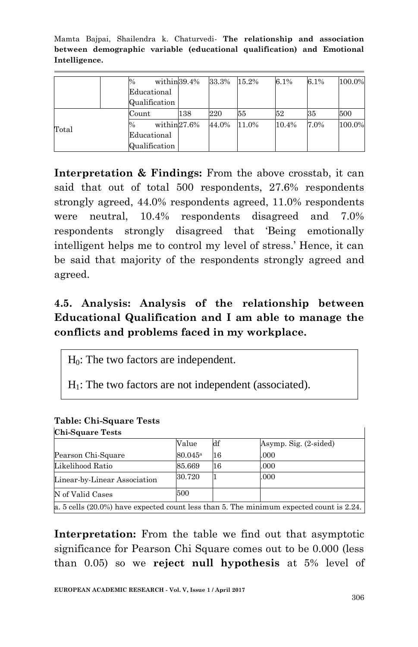|       |  | %                    | within 39.4% | 33.3% | 15.2% | 6.1%  | 6.1% | 100.0% |
|-------|--|----------------------|--------------|-------|-------|-------|------|--------|
|       |  | Educational          |              |       |       |       |      |        |
|       |  | Qualification        |              |       |       |       |      |        |
|       |  | Count                | 138          | 220   | 55    | 52    | 35   | 500    |
| Total |  | within $27.6\%$<br>% |              | 44.0% | 11.0% | 10.4% | 7.0% | 100.0% |
|       |  | Educational          |              |       |       |       |      |        |
|       |  | Qualification        |              |       |       |       |      |        |

**Interpretation & Findings:** From the above crosstab, it can said that out of total 500 respondents, 27.6% respondents strongly agreed, 44.0% respondents agreed, 11.0% respondents were neutral, 10.4% respondents disagreed and 7.0% respondents strongly disagreed that "Being emotionally intelligent helps me to control my level of stress." Hence, it can be said that majority of the respondents strongly agreed and agreed.

### **4.5. Analysis: Analysis of the relationship between Educational Qualification and I am able to manage the conflicts and problems faced in my workplace.**

H0: The two factors are independent.

 $H<sub>1</sub>$ : The two factors are not independent (associated).

| <b>Chi-Square Tests</b>      |                     |    |                                                                                            |
|------------------------------|---------------------|----|--------------------------------------------------------------------------------------------|
|                              | Value               | df | Asymp. Sig. (2-sided)                                                                      |
| Pearson Chi-Square           | 80.045 <sup>a</sup> | 16 | .000                                                                                       |
| Likelihood Ratio             | 85.669              | 16 | .000                                                                                       |
| Linear-by-Linear Association | 30.720              |    | .000                                                                                       |
| N of Valid Cases             | 500                 |    |                                                                                            |
|                              |                     |    | a. 5 cells $(20.0\%)$ have expected count less than 5. The minimum expected count is 2.24. |

#### **Table: Chi-Square Tests**

**Interpretation:** From the table we find out that asymptotic significance for Pearson Chi Square comes out to be 0.000 (less than 0.05) so we **reject null hypothesis** at 5% level of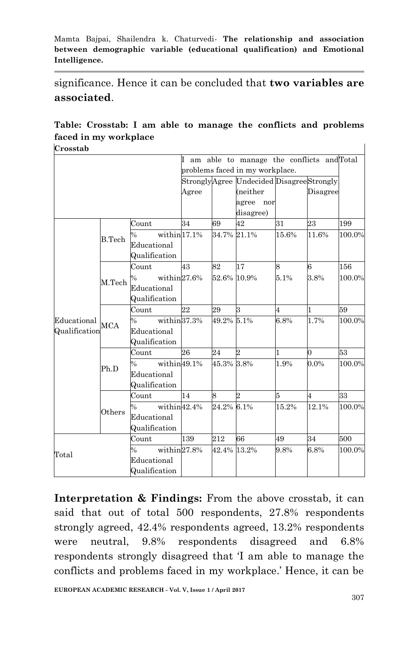significance. Hence it can be concluded that **two variables are associated**.

#### **Table: Crosstab: I am able to manage the conflicts and problems faced in my workplace** 1

**Crosstab**

|               |                                 |                                 |       |            | I am able to manage the conflicts and Total |       |                |        |
|---------------|---------------------------------|---------------------------------|-------|------------|---------------------------------------------|-------|----------------|--------|
|               | problems faced in my workplace. |                                 |       |            |                                             |       |                |        |
|               |                                 |                                 |       |            | StronglyAgree Undecided DisagreeStrongly    |       |                |        |
|               |                                 |                                 | Agree |            | (neither                                    |       | Disagree       |        |
|               |                                 |                                 |       |            | agree nor                                   |       |                |        |
|               |                                 |                                 |       |            | disagree)                                   |       |                |        |
|               |                                 | Count                           | 34    | 69         | 42                                          | 31    | 23             | 199    |
|               | B. Tech                         | within $17.1%$<br>$\frac{1}{2}$ |       |            | 34.7% 21.1%                                 | 15.6% | 11.6%          | 100.0% |
|               |                                 | Educational                     |       |            |                                             |       |                |        |
|               |                                 | Qualification                   |       |            |                                             |       |                |        |
|               |                                 | Count                           | 43    | 82         | 17                                          | 8     | 6              | 156    |
|               | M.Tech                          | within27.6%<br>$\frac{0}{0}$    |       |            | 52.6% 10.9%                                 | 5.1%  | 3.8%           | 100.0% |
|               |                                 | Educational                     |       |            |                                             |       |                |        |
|               |                                 | Qualification                   |       |            |                                             |       |                |        |
|               | <b>MCA</b>                      | Count                           | 22    | 29         | 3                                           | 4     | $\mathbf{1}$   | 59     |
| Educational   |                                 | within 37.3%<br>$\%$            |       | 49.2% 5.1% |                                             | 6.8%  | 1.7%           | 100.0% |
| Qualification |                                 | Educational                     |       |            |                                             |       |                |        |
|               |                                 | Qualification                   |       |            |                                             |       |                |        |
|               |                                 | Count                           | 26    | 24         | 2                                           | 1     | $\overline{0}$ | 53     |
|               | Ph.D                            | within49.1%<br>$\%$             |       | 45.3% 3.8% |                                             | 1.9%  | 0.0%           | 100.0% |
|               |                                 | Educational                     |       |            |                                             |       |                |        |
|               |                                 | Qualification                   |       |            |                                             |       |                |        |
|               |                                 | Count                           | 14    | 8          | $\overline{2}$                              | 5     | $\overline{4}$ | 33     |
|               | Others                          | within42.4%<br>$\frac{0}{0}$    |       | 24.2% 6.1% |                                             | 15.2% | 12.1%          | 100.0% |
|               |                                 | Educational                     |       |            |                                             |       |                |        |
|               |                                 | Qualification                   |       |            |                                             |       |                |        |
|               |                                 | Count                           | 139   | 212        | 66                                          | 49    | 34             | 500    |
| Total         |                                 | within $27.8\%$<br>$\%$         |       |            | 42.4% 13.2%                                 | 9.8%  | 6.8%           | 100.0% |
|               |                                 | Educational                     |       |            |                                             |       |                |        |
|               |                                 | Qualification                   |       |            |                                             |       |                |        |

**Interpretation & Findings:** From the above crosstab, it can said that out of total 500 respondents, 27.8% respondents strongly agreed, 42.4% respondents agreed, 13.2% respondents were neutral, 9.8% respondents disagreed and 6.8% respondents strongly disagreed that "I am able to manage the conflicts and problems faced in my workplace.' Hence, it can be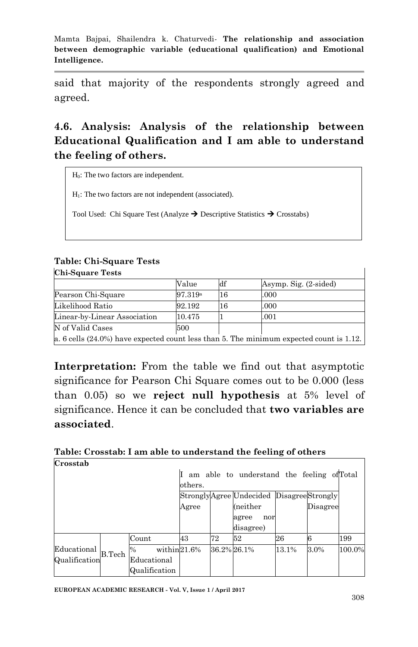said that majority of the respondents strongly agreed and agreed.

## **4.6. Analysis: Analysis of the relationship between Educational Qualification and I am able to understand the feeling of others.**

H0: The two factors are independent.

 $H<sub>1</sub>$ : The two factors are not independent (associated).

Tool Used: Chi Square Test (Analyze  $\rightarrow$  Descriptive Statistics  $\rightarrow$  Crosstabs)

#### **Table: Chi-Square Tests**

| <b>Chi-Square Tests</b>                                                                    |                     |    |                       |  |  |  |  |
|--------------------------------------------------------------------------------------------|---------------------|----|-----------------------|--|--|--|--|
|                                                                                            | Value               | df | Asymp. Sig. (2-sided) |  |  |  |  |
| Pearson Chi-Square                                                                         | 97.319 <sup>a</sup> | 16 | .000                  |  |  |  |  |
| Likelihood Ratio                                                                           | 92.192              | 16 | .000                  |  |  |  |  |
| Linear-by-Linear Association                                                               | 10.475              |    | .001                  |  |  |  |  |
| N of Valid Cases                                                                           | 500                 |    |                       |  |  |  |  |
| a. 6 cells $(24.0\%)$ have expected count less than 5. The minimum expected count is 1.12. |                     |    |                       |  |  |  |  |

**Interpretation:** From the table we find out that asymptotic significance for Pearson Chi Square comes out to be 0.000 (less than 0.05) so we **reject null hypothesis** at 5% level of significance. Hence it can be concluded that **two variables are associated**.

#### **Table: Crosstab: I am able to understand the feeling of others Crosstab**

|                                          |        |                  |         |             | am able to understand the feeling of Total |       |          |        |  |
|------------------------------------------|--------|------------------|---------|-------------|--------------------------------------------|-------|----------|--------|--|
|                                          |        |                  | others. |             |                                            |       |          |        |  |
| StronglyAgree Undecided DisagreeStrongly |        |                  |         |             |                                            |       |          |        |  |
|                                          |        |                  | Agree   |             | (neither                                   |       | Disagree |        |  |
|                                          |        |                  |         |             | agree<br>nor                               |       |          |        |  |
|                                          |        |                  |         |             | disagree)                                  |       |          |        |  |
|                                          |        | Count            | 43      | 72          | 52                                         | 26    |          | 199    |  |
| Educational                              | B.Tech | within21.6%<br>% |         | 36.2% 26.1% |                                            | 13.1% | 3.0%     | 100.0% |  |
| Qualification                            |        | Educational      |         |             |                                            |       |          |        |  |
|                                          |        | Qualification    |         |             |                                            |       |          |        |  |

1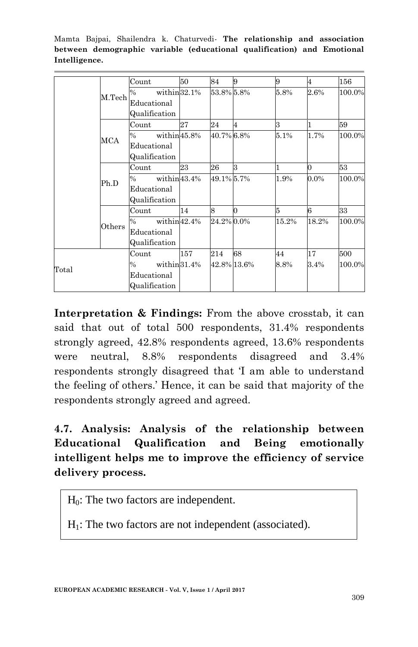|       |                     | Count                | 50  | 84         | 9           | 9     | 4        | 156    |
|-------|---------------------|----------------------|-----|------------|-------------|-------|----------|--------|
|       | M. <sub>Techn</sub> | within 32.1%<br>$\%$ |     | 53.8% 5.8% |             | 5.8%  | 2.6%     | 100.0% |
|       |                     | Educational          |     |            |             |       |          |        |
|       |                     | Qualification        |     |            |             |       |          |        |
|       |                     | Count                | 27  | 24         | 4           | 3     | 1        | 59     |
|       | MCA                 | within45.8%<br>$\%$  |     | 40.7% 6.8% |             | 5.1%  | 1.7%     | 100.0% |
|       |                     | Educational          |     |            |             |       |          |        |
|       |                     | Qualification        |     |            |             |       |          |        |
|       |                     | Count                | 23  | 26         | ß.          |       | $\Omega$ | 53     |
|       | Ph.D                | within43.4%<br>$\%$  |     | 49.1% 5.7% |             | 1.9%  | 0.0%     | 100.0% |
|       |                     | Educational          |     |            |             |       |          |        |
|       |                     | Qualification        |     |            |             |       |          |        |
|       |                     | Count                | 14  | 8          | 0           | 5     | 6        | 33     |
|       | Others              | within42.4%<br>$\%$  |     | 24.2% 0.0% |             | 15.2% | 18.2%    | 100.0% |
|       |                     | Educational          |     |            |             |       |          |        |
|       |                     | Qualification        |     |            |             |       |          |        |
|       |                     | Count                | 157 | 214        | 68          | 44    | 17       | 500    |
| Total |                     | within 31.4%<br>$\%$ |     |            | 42.8% 13.6% | 8.8%  | 3.4%     | 100.0% |
|       |                     | Educational          |     |            |             |       |          |        |
|       |                     | Qualification        |     |            |             |       |          |        |

**Interpretation & Findings:** From the above crosstab, it can said that out of total 500 respondents, 31.4% respondents strongly agreed, 42.8% respondents agreed, 13.6% respondents were neutral, 8.8% respondents disagreed and 3.4% respondents strongly disagreed that "I am able to understand the feeling of others." Hence, it can be said that majority of the respondents strongly agreed and agreed.

## **4.7. Analysis: Analysis of the relationship between Educational Qualification and Being emotionally intelligent helps me to improve the efficiency of service delivery process.**

 $H<sub>0</sub>$ : The two factors are independent.

 $H<sub>1</sub>$ : The two factors are not independent (associated).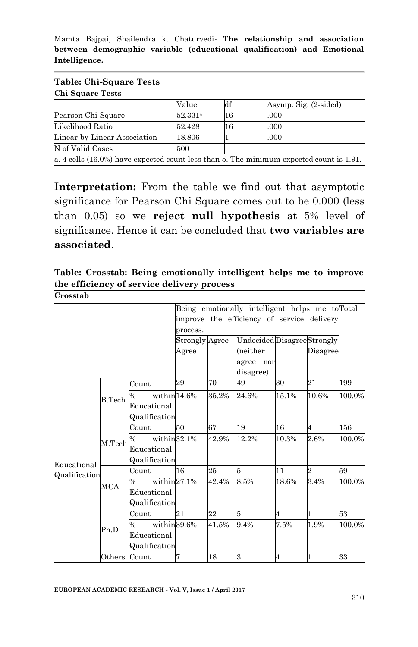| <b>Chi-Square Tests</b>                                                                    |                     |                |                       |  |  |  |  |  |
|--------------------------------------------------------------------------------------------|---------------------|----------------|-----------------------|--|--|--|--|--|
|                                                                                            | Value               | $\mathbf{d}$ f | Asymp. Sig. (2-sided) |  |  |  |  |  |
| Pearson Chi-Square                                                                         | 52.331 <sup>a</sup> | 16             | .000                  |  |  |  |  |  |
| Likelihood Ratio                                                                           | 52.428              | 16             | .000                  |  |  |  |  |  |
| Linear-by-Linear Association                                                               | 18.806              |                | .000                  |  |  |  |  |  |
| N of Valid Cases                                                                           | 500                 |                |                       |  |  |  |  |  |
| a. 4 cells $(16.0\%)$ have expected count less than 5. The minimum expected count is 1.91. |                     |                |                       |  |  |  |  |  |

**Interpretation:** From the table we find out that asymptotic significance for Pearson Chi Square comes out to be 0.000 (less than 0.05) so we **reject null hypothesis** at 5% level of significance. Hence it can be concluded that **two variables are associated**.

**Table: Crosstab: Being emotionally intelligent helps me to improve the efficiency of service delivery process**

| Crosstab      |         |                                  |                |       |                                                 |       |                |        |
|---------------|---------|----------------------------------|----------------|-------|-------------------------------------------------|-------|----------------|--------|
|               |         |                                  |                |       | Being emotionally intelligent helps me to Total |       |                |        |
|               |         |                                  |                |       | improve the efficiency of service delivery      |       |                |        |
|               |         |                                  | process.       |       |                                                 |       |                |        |
|               |         |                                  | Strongly Agree |       | Undecided Disagree Strongly                     |       |                |        |
|               |         |                                  | Agree          |       | (neither                                        |       | Disagree       |        |
|               |         |                                  |                |       | agree nor                                       |       |                |        |
|               |         |                                  |                |       | disagree)                                       |       |                |        |
|               |         | Count                            | 29             | 70    | 49                                              | 30    | 21             | 199    |
|               | B. Tech | within $14.6\%$<br>$\%$          |                | 35.2% | 24.6%                                           | 15.1% | 10.6%          | 100.0% |
|               |         | Educational                      |                |       |                                                 |       |                |        |
|               |         | Qualification                    |                |       |                                                 |       |                |        |
|               | M.Tech  | Count                            | 50             | 67    | 19                                              | 16    | $\overline{4}$ | 156    |
|               |         | within $32.1\%$<br>$\frac{0}{6}$ |                | 42.9% | 12.2%                                           | 10.3% | 2.6%           | 100.0% |
|               |         | Educational                      |                |       |                                                 |       |                |        |
| Educational   |         | Qualification                    |                |       |                                                 |       |                |        |
| Qualification |         | Count                            | 16             | 25    | 5                                               | 11    | $\overline{2}$ | 59     |
|               | MCA     | within $27.1%$<br>$\%$           |                | 42.4% | 8.5%                                            | 18.6% | 3.4%           | 100.0% |
|               |         | Educational                      |                |       |                                                 |       |                |        |
|               |         | Qualification                    |                |       |                                                 |       |                |        |
|               |         | Count                            | 21             | 22    | 5                                               | 4     | $\mathbf{1}$   | 53     |
|               | Ph.D    | within 39.6%<br>$\%$             |                | 41.5% | 9.4%                                            | 7.5%  | 1.9%           | 100.0% |
|               |         | Educational                      |                |       |                                                 |       |                |        |
|               |         | Qualification                    |                |       |                                                 |       |                |        |
|               | Others  | Count                            | 7              | 18    | 3                                               | 4     | 1              | 33     |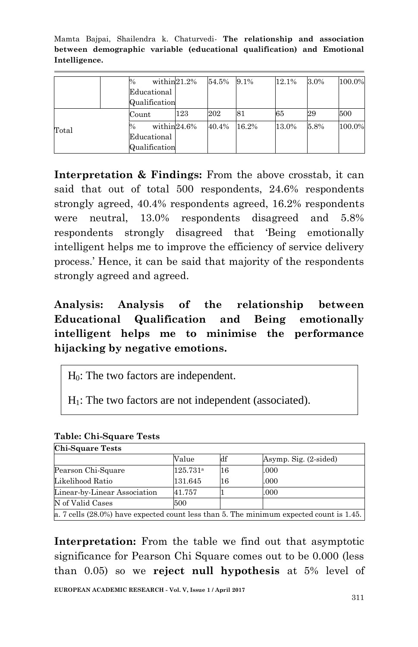|       | $\%$          | within $21.2\%$ | 54.5% | 9.1%  | 12.1% | 3.0% | 100.0% |
|-------|---------------|-----------------|-------|-------|-------|------|--------|
|       | Educational   |                 |       |       |       |      |        |
|       | Qualification |                 |       |       |       |      |        |
|       | Count         | 123             | 202   | 81    | 65    | 29   | 500    |
| Total | %             | within24.6%     | 40.4% | 16.2% | 13.0% | 5.8% | 100.0% |
|       | Educational   |                 |       |       |       |      |        |
|       | Qualification |                 |       |       |       |      |        |

**Interpretation & Findings:** From the above crosstab, it can said that out of total 500 respondents, 24.6% respondents strongly agreed, 40.4% respondents agreed, 16.2% respondents were neutral, 13.0% respondents disagreed and 5.8% respondents strongly disagreed that "Being emotionally intelligent helps me to improve the efficiency of service delivery process." Hence, it can be said that majority of the respondents strongly agreed and agreed.

**Analysis: Analysis of the relationship between Educational Qualification and Being emotionally intelligent helps me to minimise the performance hijacking by negative emotions.**

H0: The two factors are independent.

 $H<sub>1</sub>$ : The two factors are not independent (associated).

| <b>Chi-Square Tests</b>                                                                    |                   |    |                       |  |  |  |  |
|--------------------------------------------------------------------------------------------|-------------------|----|-----------------------|--|--|--|--|
|                                                                                            | Value             | df | Asymp. Sig. (2-sided) |  |  |  |  |
| Pearson Chi-Square                                                                         | $125.731^{\circ}$ | 16 | .000                  |  |  |  |  |
| Likelihood Ratio                                                                           | 131.645           | 16 | .000                  |  |  |  |  |
| Linear-by-Linear Association                                                               | 41.757            |    | .000                  |  |  |  |  |
| N of Valid Cases                                                                           | 500               |    |                       |  |  |  |  |
| a. 7 cells $(28.0\%)$ have expected count less than 5. The minimum expected count is 1.45. |                   |    |                       |  |  |  |  |

#### **Table: Chi-Square Tests**

**Interpretation:** From the table we find out that asymptotic significance for Pearson Chi Square comes out to be 0.000 (less than 0.05) so we **reject null hypothesis** at 5% level of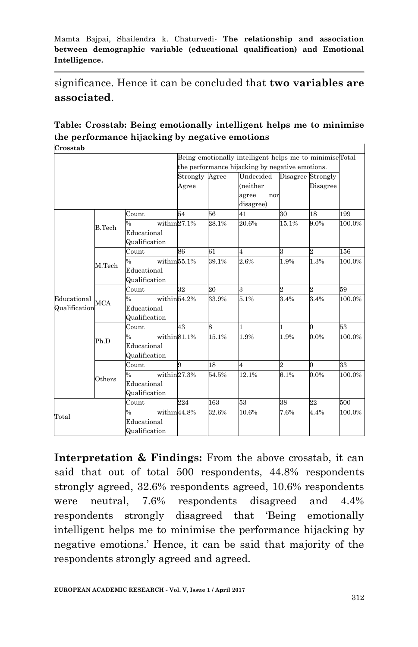significance. Hence it can be concluded that **two variables are associated**.

#### **Table: Crosstab: Being emotionally intelligent helps me to minimise the performance hijacking by negative emotions Crosstab**

|                |                    | Being emotionally intelligent helps me to minimiseTotal |          |       |                                                 |                   |                |        |
|----------------|--------------------|---------------------------------------------------------|----------|-------|-------------------------------------------------|-------------------|----------------|--------|
|                |                    |                                                         |          |       | the performance hijacking by negative emotions. |                   |                |        |
|                |                    |                                                         | Strongly | Agree | Undecided                                       | Disagree Strongly |                |        |
|                |                    |                                                         | Agree    |       | (neither                                        |                   | Disagree       |        |
|                |                    |                                                         |          |       | agree<br>nor                                    |                   |                |        |
|                |                    |                                                         |          |       | disagree)                                       |                   |                |        |
|                |                    | Count                                                   | 54       | 56    | 41                                              | 30                | 18             | 199    |
|                | <b>B.Tech</b>      | within $27.1%$<br>$\frac{0}{0}$                         |          | 28.1% | 20.6%                                           | 15.1%             | 9.0%           | 100.0% |
|                |                    | Educational                                             |          |       |                                                 |                   |                |        |
|                |                    | Qualification                                           |          |       |                                                 |                   |                |        |
|                |                    | Count                                                   | 86       | 61    | $\overline{4}$                                  | 3                 | 2              | 156    |
|                | M. <sub>Tech</sub> | within <sup>55.1%</sup><br>$\frac{0}{0}$                |          | 39.1% | 2.6%                                            | 1.9%              | 1.3%           | 100.0% |
|                |                    | Educational                                             |          |       |                                                 |                   |                |        |
|                |                    | Qualification                                           |          |       |                                                 |                   |                |        |
|                | <b>MCA</b>         | Count                                                   | 32       | 20    | 3                                               | $\overline{2}$    | $\overline{2}$ | 59     |
| Educational    |                    | within <sup>54.2%</sup><br>$\frac{0}{0}$                |          | 33.9% | 5.1%                                            | 3.4%              | 3.4%           | 100.0% |
| Qualification  |                    | Educational                                             |          |       |                                                 |                   |                |        |
|                |                    | Qualification                                           |          |       |                                                 |                   |                |        |
|                |                    | Count                                                   | 43       | 8     | 1                                               | 1                 | 0              | 53     |
|                | Ph.D               | within 81.1%<br>$\frac{0}{0}$                           |          | 15.1% | 1.9%                                            | 1.9%              | $0.0\%$        | 100.0% |
|                |                    | Educational                                             |          |       |                                                 |                   |                |        |
|                |                    | Qualification                                           |          |       |                                                 |                   |                |        |
|                |                    | Count                                                   | 9        | 18    | $\overline{4}$                                  | $\overline{2}$    | $\overline{0}$ | 33     |
|                | Others             | within27.3%<br>$\frac{0}{0}$                            |          | 54.5% | 12.1%                                           | 6.1%              | $0.0\%$        | 100.0% |
|                |                    | Educational                                             |          |       |                                                 |                   |                |        |
|                |                    | Qualification                                           |          |       |                                                 |                   |                |        |
|                |                    | Count                                                   | 224      | 163   | 53                                              | 38                | 22             | 500    |
| $_{\rm Total}$ |                    | within44.8%<br>$\frac{0}{0}$                            |          | 32.6% | 10.6%                                           | 7.6%              | 4.4%           | 100.0% |
|                |                    | Educational                                             |          |       |                                                 |                   |                |        |
|                |                    | Qualification                                           |          |       |                                                 |                   |                |        |

**Interpretation & Findings:** From the above crosstab, it can said that out of total 500 respondents, 44.8% respondents strongly agreed, 32.6% respondents agreed, 10.6% respondents were neutral, 7.6% respondents disagreed and 4.4% respondents strongly disagreed that "Being emotionally intelligent helps me to minimise the performance hijacking by negative emotions." Hence, it can be said that majority of the respondents strongly agreed and agreed.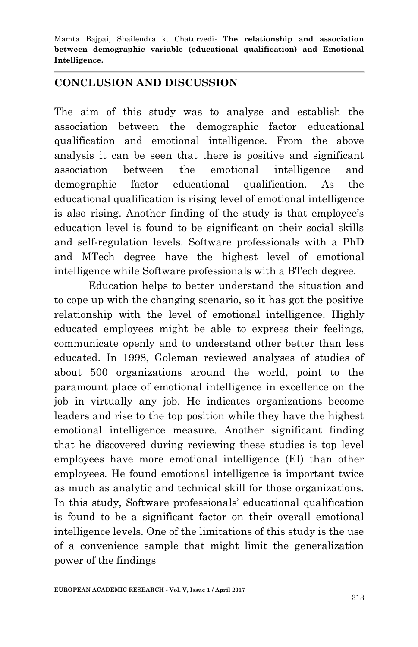### **CONCLUSION AND DISCUSSION**

The aim of this study was to analyse and establish the association between the demographic factor educational qualification and emotional intelligence. From the above analysis it can be seen that there is positive and significant association between the emotional intelligence and demographic factor educational qualification. As the educational qualification is rising level of emotional intelligence is also rising. Another finding of the study is that employee's education level is found to be significant on their social skills and self-regulation levels. Software professionals with a PhD and MTech degree have the highest level of emotional intelligence while Software professionals with a BTech degree.

Education helps to better understand the situation and to cope up with the changing scenario, so it has got the positive relationship with the level of emotional intelligence. Highly educated employees might be able to express their feelings, communicate openly and to understand other better than less educated. In 1998, Goleman reviewed analyses of studies of about 500 organizations around the world, point to the paramount place of emotional intelligence in excellence on the job in virtually any job. He indicates organizations become leaders and rise to the top position while they have the highest emotional intelligence measure. Another significant finding that he discovered during reviewing these studies is top level employees have more emotional intelligence (EI) than other employees. He found emotional intelligence is important twice as much as analytic and technical skill for those organizations. In this study, Software professionals" educational qualification is found to be a significant factor on their overall emotional intelligence levels. One of the limitations of this study is the use of a convenience sample that might limit the generalization power of the findings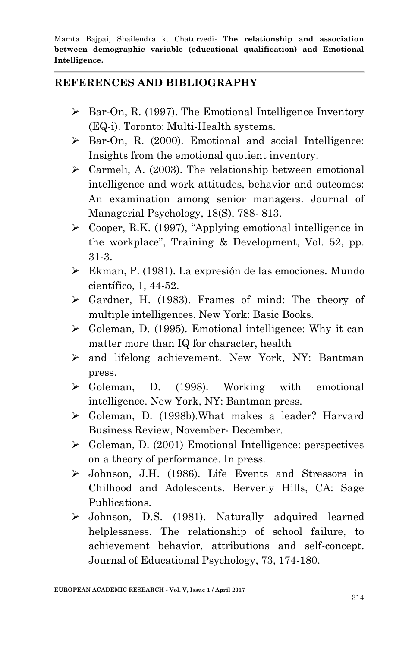### **REFERENCES AND BIBLIOGRAPHY**

- $\triangleright$  Bar-On, R. (1997). The Emotional Intelligence Inventory (EQ-i). Toronto: Multi-Health systems.
- Bar-On, R. (2000). Emotional and social Intelligence: Insights from the emotional quotient inventory.
- $\triangleright$  Carmeli, A. (2003). The relationship between emotional intelligence and work attitudes, behavior and outcomes: An examination among senior managers. Journal of Managerial Psychology, 18(S), 788- 813.
- Cooper, R.K. (1997), "Applying emotional intelligence in the workplace", Training & Development, Vol. 52, pp. 31-3.
- Ekman, P. (1981). La expresión de las emociones. Mundo científico, 1, 44-52.
- $\triangleright$  Gardner, H. (1983). Frames of mind: The theory of multiple intelligences. New York: Basic Books.
- $\triangleright$  Goleman, D. (1995). Emotional intelligence: Why it can matter more than IQ for character, health
- and lifelong achievement. New York, NY: Bantman press.
- Goleman, D. (1998). Working with emotional intelligence. New York, NY: Bantman press.
- Goleman, D. (1998b).What makes a leader? Harvard Business Review, November- December.
- Goleman, D. (2001) Emotional Intelligence: perspectives on a theory of performance. In press.
- Johnson, J.H. (1986). Life Events and Stressors in Chilhood and Adolescents. Berverly Hills, CA: Sage Publications.
- Johnson, D.S. (1981). Naturally adquired learned helplessness. The relationship of school failure, to achievement behavior, attributions and self-concept. Journal of Educational Psychology, 73, 174-180.